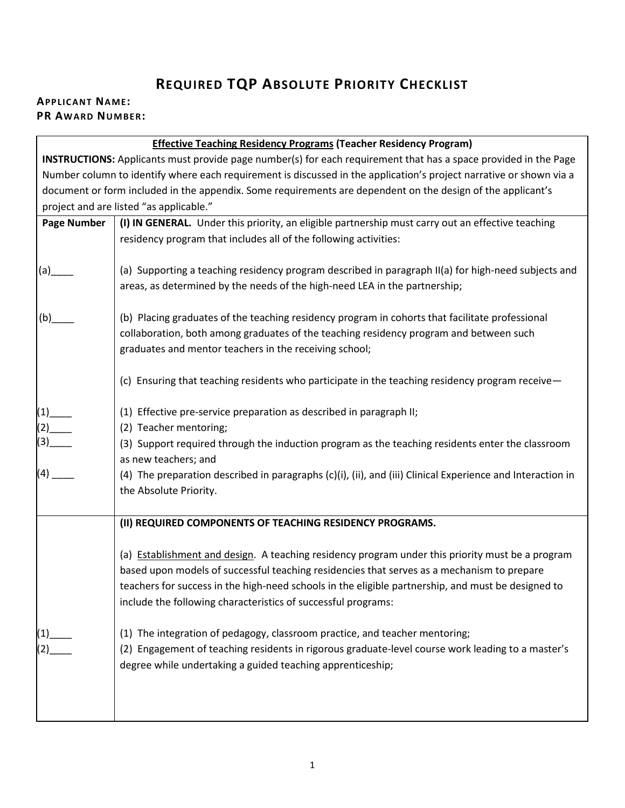## **REQUIRED TQP ABSOLUTE PRIORITY CHECKLIST**

## **APPLICANT NAME: PR AWARD NUMBER:**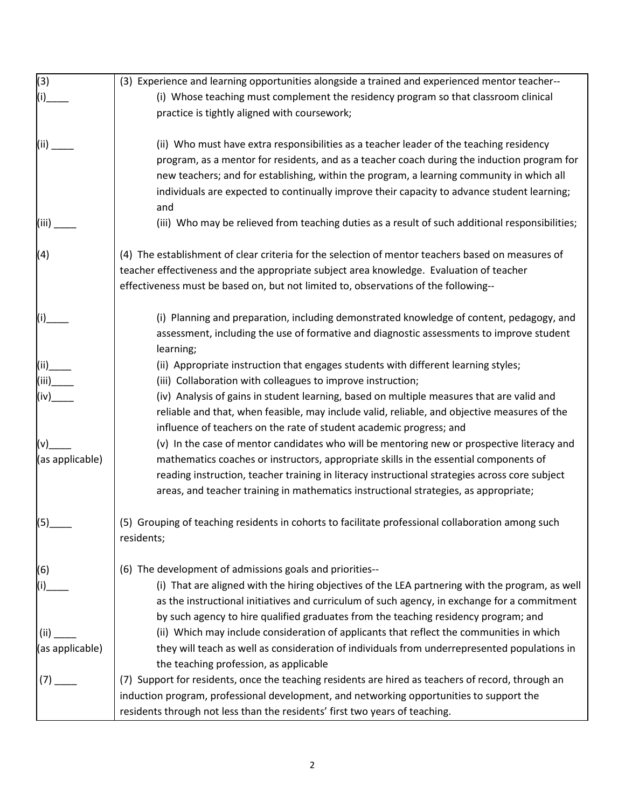| (3)             | (3) Experience and learning opportunities alongside a trained and experienced mentor teacher--        |
|-----------------|-------------------------------------------------------------------------------------------------------|
| (i)             | (i) Whose teaching must complement the residency program so that classroom clinical                   |
|                 | practice is tightly aligned with coursework;                                                          |
| (ii)            | (ii) Who must have extra responsibilities as a teacher leader of the teaching residency               |
|                 | program, as a mentor for residents, and as a teacher coach during the induction program for           |
|                 | new teachers; and for establishing, within the program, a learning community in which all             |
|                 | individuals are expected to continually improve their capacity to advance student learning;<br>and    |
| (iii)           | (iii) Who may be relieved from teaching duties as a result of such additional responsibilities;       |
| (4)             | (4) The establishment of clear criteria for the selection of mentor teachers based on measures of     |
|                 | teacher effectiveness and the appropriate subject area knowledge. Evaluation of teacher               |
|                 | effectiveness must be based on, but not limited to, observations of the following--                   |
| (i)             | (i) Planning and preparation, including demonstrated knowledge of content, pedagogy, and              |
|                 | assessment, including the use of formative and diagnostic assessments to improve student<br>learning; |
| (ii)_           | (ii) Appropriate instruction that engages students with different learning styles;                    |
| (iii)           | (iii) Collaboration with colleagues to improve instruction;                                           |
| (iv)            | (iv) Analysis of gains in student learning, based on multiple measures that are valid and             |
|                 | reliable and that, when feasible, may include valid, reliable, and objective measures of the          |
|                 | influence of teachers on the rate of student academic progress; and                                   |
| (v)             | (v) In the case of mentor candidates who will be mentoring new or prospective literacy and            |
| (as applicable) | mathematics coaches or instructors, appropriate skills in the essential components of                 |
|                 | reading instruction, teacher training in literacy instructional strategies across core subject        |
|                 | areas, and teacher training in mathematics instructional strategies, as appropriate;                  |
| (5)             | (5) Grouping of teaching residents in cohorts to facilitate professional collaboration among such     |
|                 | residents;                                                                                            |
| (6)             | (6) The development of admissions goals and priorities--                                              |
|                 | (i) That are aligned with the hiring objectives of the LEA partnering with the program, as well       |
|                 | as the instructional initiatives and curriculum of such agency, in exchange for a commitment          |
|                 | by such agency to hire qualified graduates from the teaching residency program; and                   |
| (ii)            | (ii) Which may include consideration of applicants that reflect the communities in which              |
| (as applicable) | they will teach as well as consideration of individuals from underrepresented populations in          |
|                 | the teaching profession, as applicable                                                                |
| (7)             | (7) Support for residents, once the teaching residents are hired as teachers of record, through an    |
|                 | induction program, professional development, and networking opportunities to support the              |
|                 | residents through not less than the residents' first two years of teaching.                           |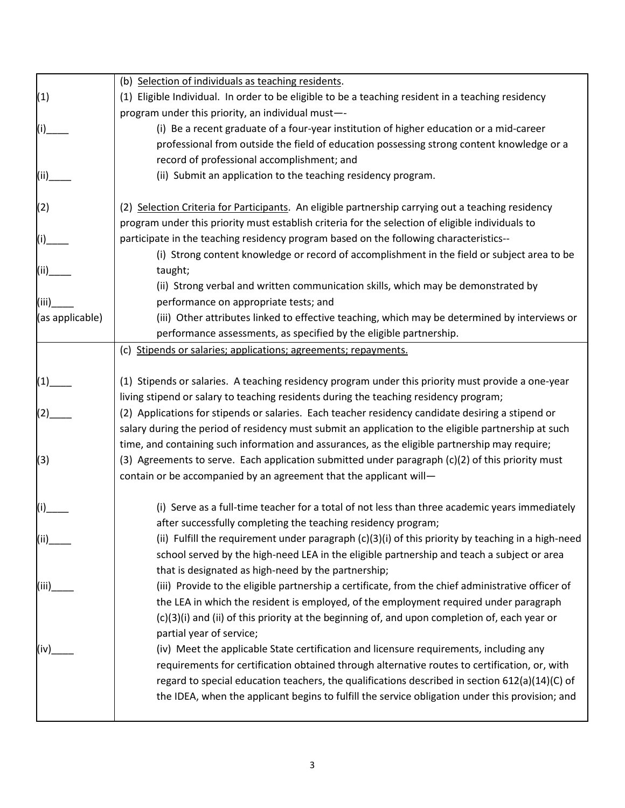|                 | (b) Selection of individuals as teaching residents.                                                  |
|-----------------|------------------------------------------------------------------------------------------------------|
| (1)             | (1) Eligible Individual. In order to be eligible to be a teaching resident in a teaching residency   |
|                 | program under this priority, an individual must-                                                     |
|                 | (i) Be a recent graduate of a four-year institution of higher education or a mid-career              |
|                 | professional from outside the field of education possessing strong content knowledge or a            |
|                 | record of professional accomplishment; and                                                           |
| (ii)            | (ii) Submit an application to the teaching residency program.                                        |
| (2)             | (2) Selection Criteria for Participants. An eligible partnership carrying out a teaching residency   |
|                 | program under this priority must establish criteria for the selection of eligible individuals to     |
|                 | participate in the teaching residency program based on the following characteristics--               |
|                 | (i) Strong content knowledge or record of accomplishment in the field or subject area to be          |
| (ii)            | taught;                                                                                              |
|                 | (ii) Strong verbal and written communication skills, which may be demonstrated by                    |
| (iii)           | performance on appropriate tests; and                                                                |
| (as applicable) | (iii) Other attributes linked to effective teaching, which may be determined by interviews or        |
|                 | performance assessments, as specified by the eligible partnership.                                   |
|                 | (c) Stipends or salaries; applications; agreements; repayments.                                      |
|                 | (1) Stipends or salaries. A teaching residency program under this priority must provide a one-year   |
|                 | living stipend or salary to teaching residents during the teaching residency program;                |
| (2)             | (2) Applications for stipends or salaries. Each teacher residency candidate desiring a stipend or    |
|                 | salary during the period of residency must submit an application to the eligible partnership at such |
|                 | time, and containing such information and assurances, as the eligible partnership may require;       |
| (3)             | (3) Agreements to serve. Each application submitted under paragraph (c)(2) of this priority must     |
|                 | contain or be accompanied by an agreement that the applicant will-                                   |
|                 |                                                                                                      |
|                 | (i) Serve as a full-time teacher for a total of not less than three academic years immediately       |
|                 | after successfully completing the teaching residency program;                                        |
| (ii)            | (ii) Fulfill the requirement under paragraph $(c)(3)(i)$ of this priority by teaching in a high-need |
|                 | school served by the high-need LEA in the eligible partnership and teach a subject or area           |
|                 | that is designated as high-need by the partnership;                                                  |
| (iii)           | (iii) Provide to the eligible partnership a certificate, from the chief administrative officer of    |
|                 | the LEA in which the resident is employed, of the employment required under paragraph                |
|                 | (c)(3)(i) and (ii) of this priority at the beginning of, and upon completion of, each year or        |
|                 | partial year of service;                                                                             |
| (iv)            | (iv) Meet the applicable State certification and licensure requirements, including any               |
|                 | requirements for certification obtained through alternative routes to certification, or, with        |
|                 | regard to special education teachers, the qualifications described in section 612(a)(14)(C) of       |
|                 | the IDEA, when the applicant begins to fulfill the service obligation under this provision; and      |
|                 |                                                                                                      |